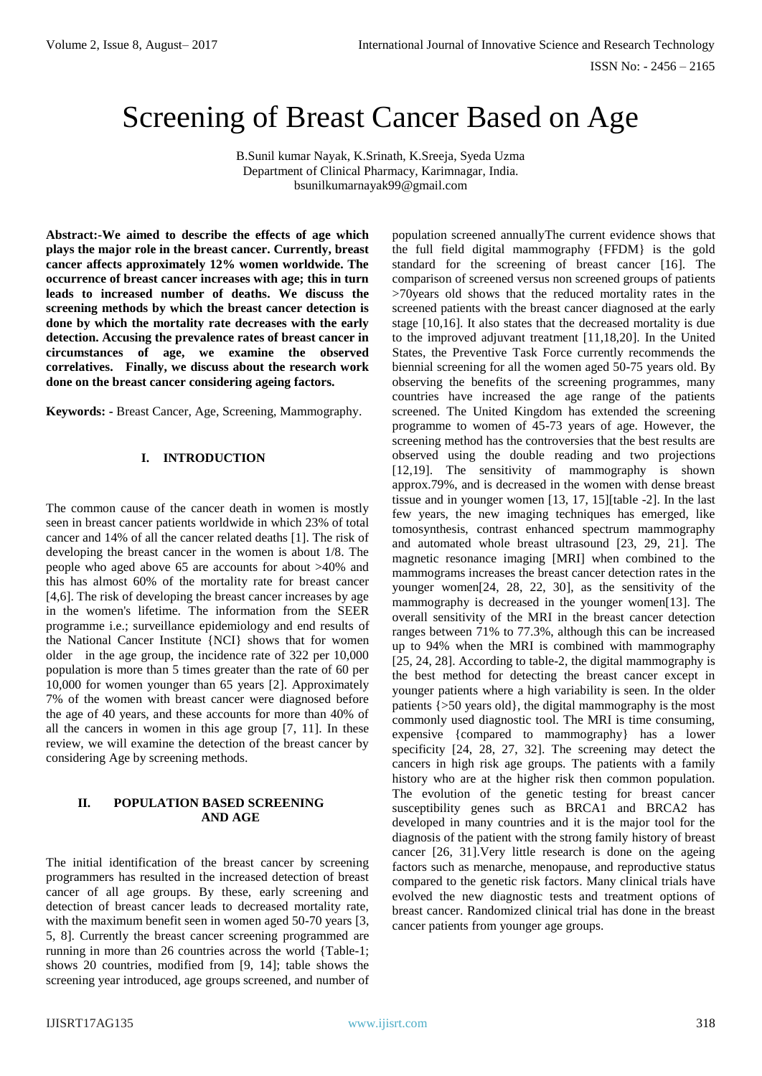# Screening of Breast Cancer Based on Age

B.Sunil kumar Nayak, K.Srinath, K.Sreeja, Syeda Uzma Department of Clinical Pharmacy, Karimnagar, India. bsunilkumarnayak99@gmail.com

**Abstract:-We aimed to describe the effects of age which plays the major role in the breast cancer. Currently, breast cancer affects approximately 12% women worldwide. The occurrence of breast cancer increases with age; this in turn leads to increased number of deaths. We discuss the screening methods by which the breast cancer detection is done by which the mortality rate decreases with the early detection. Accusing the prevalence rates of breast cancer in circumstances of age, we examine the observed correlatives. Finally, we discuss about the research work done on the breast cancer considering ageing factors.** 

**Keywords: -** Breast Cancer, Age, Screening, Mammography.

### **I. INTRODUCTION**

The common cause of the cancer death in women is mostly seen in breast cancer patients worldwide in which 23% of total cancer and 14% of all the cancer related deaths [1]. The risk of developing the breast cancer in the women is about 1/8. The people who aged above 65 are accounts for about >40% and this has almost 60% of the mortality rate for breast cancer [4,6]. The risk of developing the breast cancer increases by age in the women's lifetime. The information from the SEER programme i.e.; surveillance epidemiology and end results of the National Cancer Institute {NCI} shows that for women older in the age group, the incidence rate of 322 per 10,000 population is more than 5 times greater than the rate of 60 per 10,000 for women younger than 65 years [2]. Approximately 7% of the women with breast cancer were diagnosed before the age of 40 years, and these accounts for more than 40% of all the cancers in women in this age group [7, 11]. In these review, we will examine the detection of the breast cancer by considering Age by screening methods.

## **II. POPULATION BASED SCREENING AND AGE**

The initial identification of the breast cancer by screening programmers has resulted in the increased detection of breast cancer of all age groups. By these, early screening and detection of breast cancer leads to decreased mortality rate, with the maximum benefit seen in women aged 50-70 years [3, 5, 8]. Currently the breast cancer screening programmed are running in more than 26 countries across the world {Table-1; shows 20 countries, modified from [9, 14]; table shows the screening year introduced, age groups screened, and number of

population screened annuallyThe current evidence shows that the full field digital mammography {FFDM} is the gold standard for the screening of breast cancer [16]. The comparison of screened versus non screened groups of patients >70years old shows that the reduced mortality rates in the screened patients with the breast cancer diagnosed at the early stage [10,16]. It also states that the decreased mortality is due to the improved adjuvant treatment [11,18,20]. In the United States, the Preventive Task Force currently recommends the biennial screening for all the women aged 50-75 years old. By observing the benefits of the screening programmes, many countries have increased the age range of the patients screened. The United Kingdom has extended the screening programme to women of 45-73 years of age. However, the screening method has the controversies that the best results are observed using the double reading and two projections [12,19]. The sensitivity of mammography is shown approx.79%, and is decreased in the women with dense breast tissue and in younger women [13, 17, 15][table -2]. In the last few years, the new imaging techniques has emerged, like tomosynthesis, contrast enhanced spectrum mammography and automated whole breast ultrasound [23, 29, 21]. The magnetic resonance imaging [MRI] when combined to the mammograms increases the breast cancer detection rates in the younger women[24, 28, 22, 30], as the sensitivity of the mammography is decreased in the younger women[13]. The overall sensitivity of the MRI in the breast cancer detection ranges between 71% to 77.3%, although this can be increased up to 94% when the MRI is combined with mammography [25, 24, 28]. According to table-2, the digital mammography is the best method for detecting the breast cancer except in younger patients where a high variability is seen. In the older patients {>50 years old}, the digital mammography is the most commonly used diagnostic tool. The MRI is time consuming, expensive {compared to mammography} has a lower specificity [24, 28, 27, 32]. The screening may detect the cancers in high risk age groups. The patients with a family history who are at the higher risk then common population. The evolution of the genetic testing for breast cancer susceptibility genes such as BRCA1 and BRCA2 has developed in many countries and it is the major tool for the diagnosis of the patient with the strong family history of breast cancer [26, 31].Very little research is done on the ageing factors such as menarche, menopause, and reproductive status compared to the genetic risk factors. Many clinical trials have evolved the new diagnostic tests and treatment options of breast cancer. Randomized clinical trial has done in the breast cancer patients from younger age groups.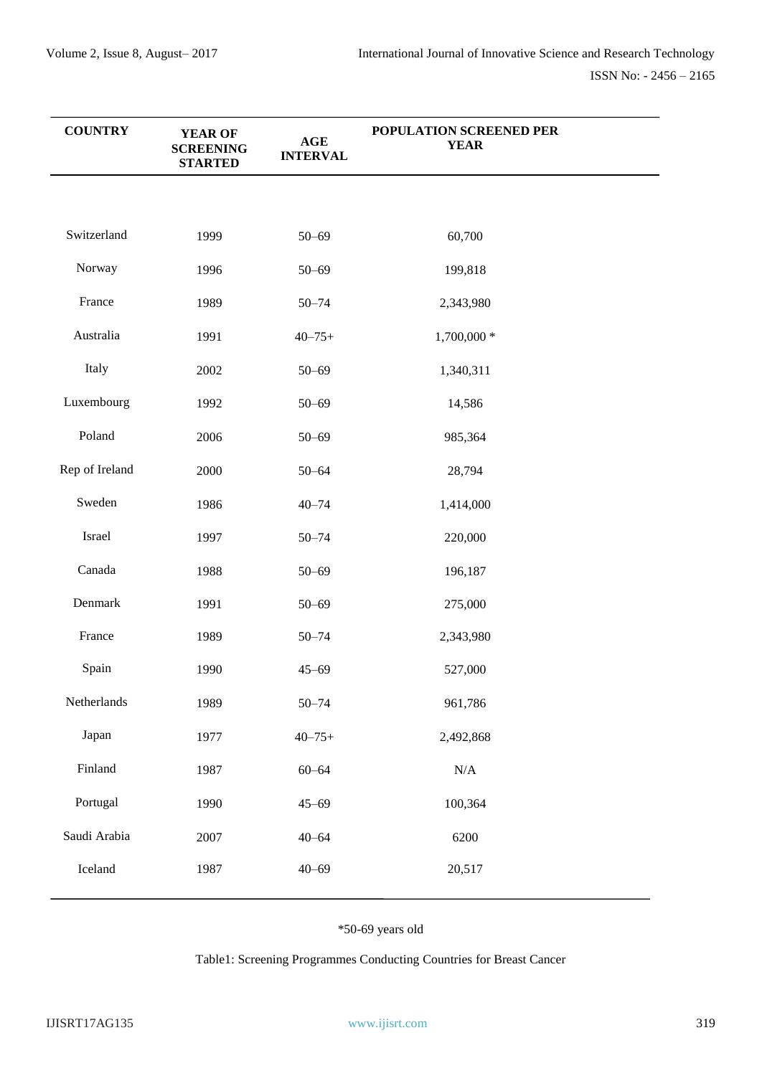| <b>COUNTRY</b> | <b>YEAR OF</b><br><b>SCREENING</b><br><b>STARTED</b> | $\mathbf{AGE}$<br><b>INTERVAL</b> | POPULATION SCREENED PER<br><b>YEAR</b> |  |
|----------------|------------------------------------------------------|-----------------------------------|----------------------------------------|--|
|                |                                                      |                                   |                                        |  |
| Switzerland    | 1999                                                 | $50 - 69$                         | 60,700                                 |  |
| Norway         | 1996                                                 | $50 - 69$                         | 199,818                                |  |
| France         | 1989                                                 | $50 - 74$                         | 2,343,980                              |  |
| Australia      | 1991                                                 | $40 - 75 +$                       | 1,700,000 *                            |  |
| Italy          | 2002                                                 | $50 - 69$                         | 1,340,311                              |  |
| Luxembourg     | 1992                                                 | $50 - 69$                         | 14,586                                 |  |
| Poland         | 2006                                                 | $50 - 69$                         | 985,364                                |  |
| Rep of Ireland | 2000                                                 | $50 - 64$                         | 28,794                                 |  |
| Sweden         | 1986                                                 | $40 - 74$                         | 1,414,000                              |  |
| Israel         | 1997                                                 | $50 - 74$                         | 220,000                                |  |
| Canada         | 1988                                                 | $50 - 69$                         | 196,187                                |  |
| Denmark        | 1991                                                 | $50 - 69$                         | 275,000                                |  |
| France         | 1989                                                 | $50 - 74$                         | 2,343,980                              |  |
| Spain          | 1990                                                 | $45 - 69$                         | 527,000                                |  |
| Netherlands    | 1989                                                 | $50 - 74$                         | 961,786                                |  |
| Japan          | 1977                                                 | $40 - 75 +$                       | 2,492,868                              |  |
| Finland        | 1987                                                 | $60 - 64$                         | $\rm N/A$                              |  |
| Portugal       | 1990                                                 | $45 - 69$                         | 100,364                                |  |
| Saudi Arabia   | 2007                                                 | $40 - 64$                         | 6200                                   |  |
| Iceland        | 1987                                                 | $40 - 69$                         | 20,517                                 |  |

# \*50-69 years old

Table1: Screening Programmes Conducting Countries for Breast Cancer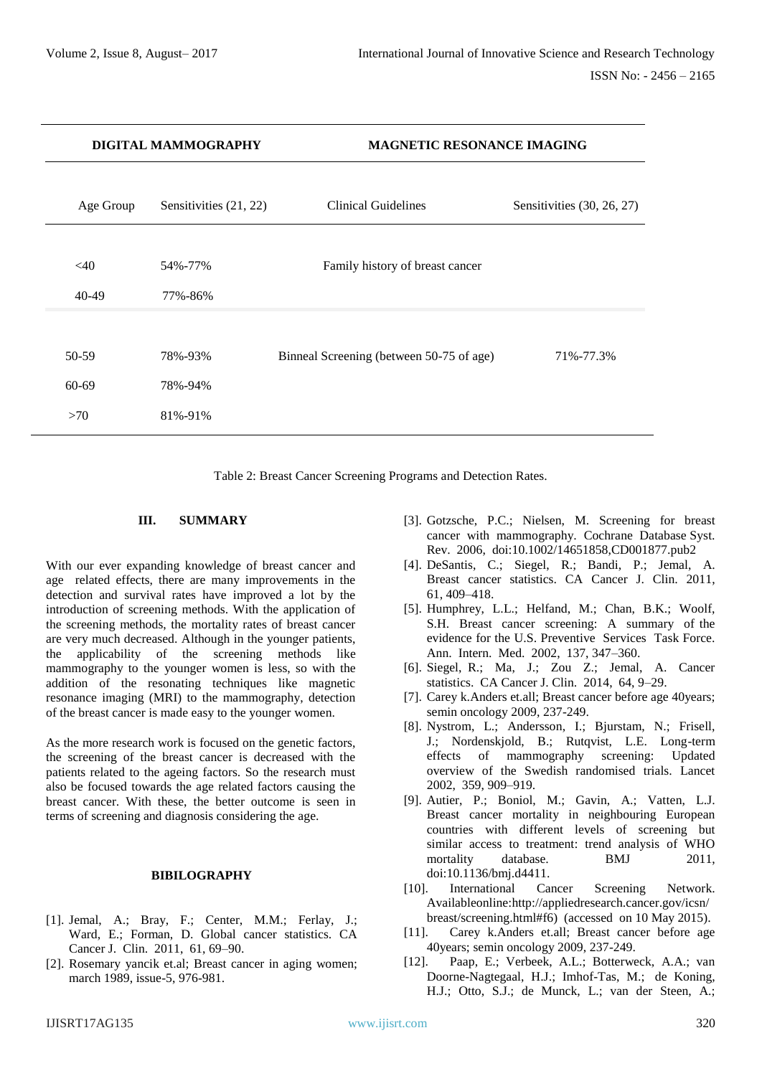| DIGITAL MAMMOGRAPHY  |           |                        | <b>MAGNETIC RESONANCE IMAGING</b>        |                              |  |
|----------------------|-----------|------------------------|------------------------------------------|------------------------------|--|
|                      | Age Group | Sensitivities (21, 22) | Clinical Guidelines                      | Sensitivities $(30, 26, 27)$ |  |
| <40<br>40-49         |           | 54%-77%<br>77%-86%     | Family history of breast cancer          |                              |  |
| $50-59$<br>$60 - 69$ |           | 78%-93%<br>78%-94%     | Binneal Screening (between 50-75 of age) | 71%-77.3%                    |  |
| >70                  |           | 81%-91%                |                                          |                              |  |

Table 2: Breast Cancer Screening Programs and Detection Rates.

#### **III. SUMMARY**

With our ever expanding knowledge of breast cancer and age related effects, there are many improvements in the detection and survival rates have improved a lot by the introduction of screening methods. With the application of the screening methods, the mortality rates of breast cancer are very much decreased. Although in the younger patients, the applicability of the screening methods like mammography to the younger women is less, so with the addition of the resonating techniques like magnetic resonance imaging (MRI) to the mammography, detection of the breast cancer is made easy to the younger women.

As the more research work is focused on the genetic factors, the screening of the breast cancer is decreased with the patients related to the ageing factors. So the research must also be focused towards the age related factors causing the breast cancer. With these, the better outcome is seen in terms of screening and diagnosis considering the age.

## **BIBILOGRAPHY**

- [1]. Jemal, A.; Bray, F.; Center, M.M.; Ferlay, J.; Ward, E.; Forman, D. Global cancer statistics. CA Cancer J. Clin. 2011, 61, 69–90.
- [2]. Rosemary yancik et.al; Breast cancer in aging women; march 1989, issue-5, 976-981.
- [3]. Gotzsche, P.C.; Nielsen, M. Screening for breast cancer with mammography. Cochrane Database Syst. Rev. 2006, doi:10.1002/14651858,CD001877.pub2
- [4]. DeSantis, C.; Siegel, R.; Bandi, P.; Jemal, A. Breast cancer statistics. CA Cancer J. Clin. 2011, 61, 409–418.
- [5]. Humphrey, L.L.; Helfand, M.; Chan, B.K.; Woolf, S.H. Breast cancer screening: A summary of the evidence for the U.S. Preventive Services Task Force. Ann. Intern. Med. 2002, 137, 347–360.
- [6]. Siegel, R.; Ma, J.; Zou Z.; Jemal, A. Cancer statistics. CA Cancer J. Clin. 2014, 64, 9–29.
- [7]. Carey k.Anders et.all; Breast cancer before age 40years; semin oncology 2009, 237-249.
- [8]. Nystrom, L.; Andersson, I.; Bjurstam, N.; Frisell, J.; Nordenskjold, B.; Rutqvist, L.E. Long-term effects of mammography screening: Updated overview of the Swedish randomised trials. Lancet 2002, 359, 909–919.
- [9]. Autier, P.; Boniol, M.; Gavin, A.; Vatten, L.J. Breast cancer mortality in neighbouring European countries with different levels of screening but similar access to treatment: trend analysis of WHO mortality database. BMJ 2011, doi:10.1136/bmj.d4411.
- [10]. International Cancer Screening Network. Availableonline:http://appliedresearch.cancer.gov/icsn/ breast/screening.html#f6) (accessed on 10 May 2015).
- [11]. Carey k.Anders et.all; Breast cancer before age 40years; semin oncology 2009, 237-249.
- [12]. Paap, E.; Verbeek, A.L.; Botterweck, A.A.; van Doorne-Nagtegaal, H.J.; Imhof-Tas, M.; de Koning, H.J.; Otto, S.J.; de Munck, L.; van der Steen, A.;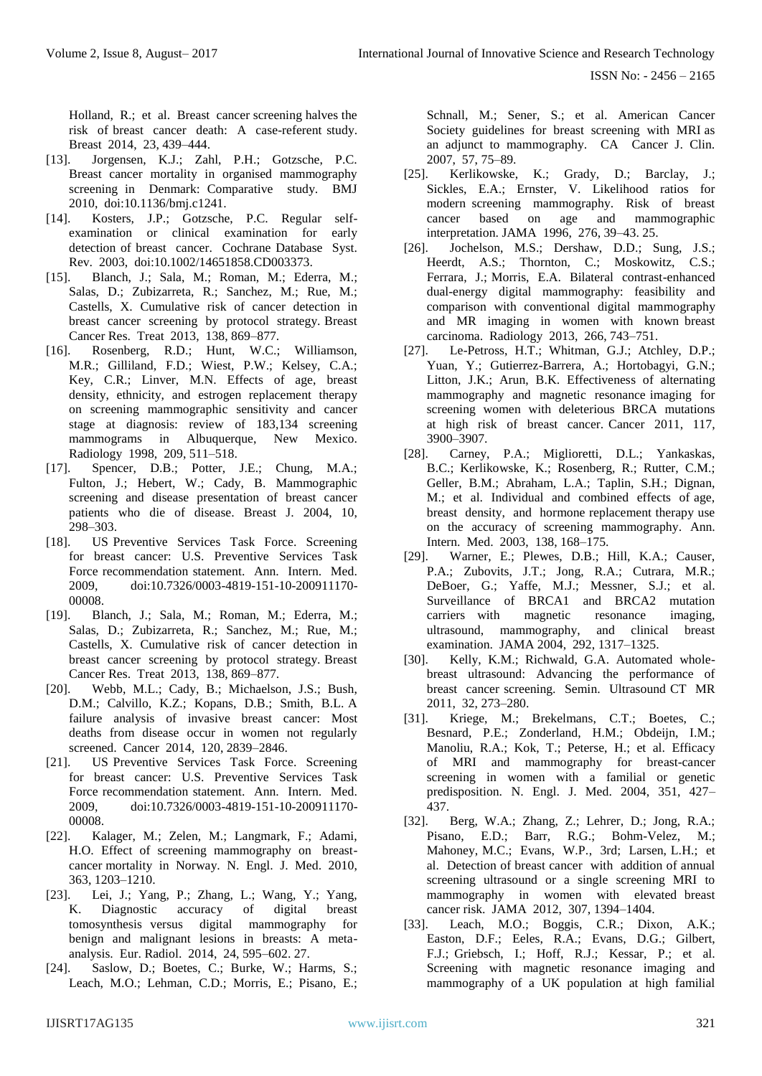Holland, R.; et al. Breast cancer screening halves the risk of breast cancer death: A case-referent study. Breast 2014, 23, 439–444.

- [13]. Jorgensen, K.J.; Zahl, P.H.; Gotzsche, P.C. Breast cancer mortality in organised mammography screening in Denmark: Comparative study. BMJ 2010, doi:10.1136/bmj.c1241.
- [14]. Kosters, J.P.; Gotzsche, P.C. Regular selfexamination or clinical examination for early detection of breast cancer. Cochrane Database Syst. Rev. 2003, doi:10.1002/14651858.CD003373.
- [15]. Blanch, J.; Sala, M.; Roman, M.; Ederra, M.; Salas, D.; Zubizarreta, R.; Sanchez, M.; Rue, M.; Castells, X. Cumulative risk of cancer detection in breast cancer screening by protocol strategy. Breast Cancer Res. Treat 2013, 138, 869–877.
- [16]. Rosenberg, R.D.; Hunt, W.C.; Williamson, M.R.; Gilliland, F.D.; Wiest, P.W.; Kelsey, C.A.; Key, C.R.; Linver, M.N. Effects of age, breast density, ethnicity, and estrogen replacement therapy on screening mammographic sensitivity and cancer stage at diagnosis: review of 183,134 screening mammograms in Albuquerque, New Mexico. Radiology 1998, 209, 511–518.
- [17]. Spencer, D.B.; Potter, J.E.; Chung, M.A.; Fulton, J.; Hebert, W.; Cady, B. Mammographic screening and disease presentation of breast cancer patients who die of disease. Breast J. 2004, 10, 298–303.
- [18]. US Preventive Services Task Force. Screening for breast cancer: U.S. Preventive Services Task Force recommendation statement. Ann. Intern. Med. 2009, doi:10.7326/0003-4819-151-10-200911170- 00008.
- [19]. Blanch, J.; Sala, M.; Roman, M.; Ederra, M.; Salas, D.; Zubizarreta, R.; Sanchez, M.; Rue, M.; Castells, X. Cumulative risk of cancer detection in breast cancer screening by protocol strategy. Breast Cancer Res. Treat 2013, 138, 869–877.
- [20]. Webb, M.L.; Cady, B.; Michaelson, J.S.; Bush, D.M.; Calvillo, K.Z.; Kopans, D.B.; Smith, B.L. A failure analysis of invasive breast cancer: Most deaths from disease occur in women not regularly screened. Cancer 2014, 120, 2839–2846.
- [21]. US Preventive Services Task Force. Screening for breast cancer: U.S. Preventive Services Task Force recommendation statement. Ann. Intern. Med. 2009, doi:10.7326/0003-4819-151-10-200911170- 00008.
- [22]. Kalager, M.; Zelen, M.; Langmark, F.; Adami, H.O. Effect of screening mammography on breastcancer mortality in Norway. N. Engl. J. Med. 2010, 363, 1203–1210.
- [23]. Lei, J.; Yang, P.; Zhang, L.; Wang, Y.; Yang, K. Diagnostic accuracy of digital breast tomosynthesis versus digital mammography for benign and malignant lesions in breasts: A metaanalysis. Eur. Radiol. 2014, 24, 595–602. 27.
- [24]. Saslow, D.; Boetes, C.; Burke, W.; Harms, S.; Leach, M.O.; Lehman, C.D.; Morris, E.; Pisano, E.;

Schnall, M.; Sener, S.; et al. American Cancer Society guidelines for breast screening with MRI as an adjunct to mammography. CA Cancer J. Clin. 2007, 57, 75–89.

- [25]. Kerlikowske, K.; Grady, D.; Barclay, J.; Sickles, E.A.; Ernster, V. Likelihood ratios for modern screening mammography. Risk of breast cancer based on age and mammographic interpretation. JAMA 1996, 276, 39–43. 25.
- [26]. Jochelson, M.S.; Dershaw, D.D.; Sung, J.S.; Heerdt, A.S.; Thornton, C.; Moskowitz, C.S.; Ferrara, J.; Morris, E.A. Bilateral contrast-enhanced dual-energy digital mammography: feasibility and comparison with conventional digital mammography and MR imaging in women with known breast carcinoma. Radiology 2013, 266, 743–751.
- [27]. Le-Petross, H.T.; Whitman, G.J.; Atchley, D.P.; Yuan, Y.; Gutierrez-Barrera, A.; Hortobagyi, G.N.; Litton, J.K.; Arun, B.K. Effectiveness of alternating mammography and magnetic resonance imaging for screening women with deleterious BRCA mutations at high risk of breast cancer. Cancer 2011, 117, 3900–3907.
- [28]. Carney, P.A.; Miglioretti, D.L.; Yankaskas, B.C.; Kerlikowske, K.; Rosenberg, R.; Rutter, C.M.; Geller, B.M.; Abraham, L.A.; Taplin, S.H.; Dignan, M.; et al. Individual and combined effects of age, breast density, and hormone replacement therapy use on the accuracy of screening mammography. Ann. Intern. Med. 2003, 138, 168–175.
- [29]. Warner, E.; Plewes, D.B.; Hill, K.A.; Causer, P.A.; Zubovits, J.T.; Jong, R.A.; Cutrara, M.R.; DeBoer, G.; Yaffe, M.J.; Messner, S.J.; et al. Surveillance of BRCA1 and BRCA2 mutation carriers with magnetic resonance imaging, ultrasound, mammography, and clinical breast examination. JAMA 2004, 292, 1317–1325.
- [30]. Kelly, K.M.; Richwald, G.A. Automated wholebreast ultrasound: Advancing the performance of breast cancer screening. Semin. Ultrasound CT MR 2011, 32, 273–280.
- [31]. Kriege, M.; Brekelmans, C.T.; Boetes, C.; Besnard, P.E.; Zonderland, H.M.; Obdeijn, I.M.; Manoliu, R.A.; Kok, T.; Peterse, H.; et al. Efficacy of MRI and mammography for breast-cancer screening in women with a familial or genetic predisposition. N. Engl. J. Med. 2004, 351, 427– 437.
- [32]. Berg, W.A.; Zhang, Z.; Lehrer, D.; Jong, R.A.; Pisano, E.D.; Barr, R.G.; Bohm-Velez, M.; Mahoney, M.C.; Evans, W.P., 3rd; Larsen, L.H.; et al. Detection of breast cancer with addition of annual screening ultrasound or a single screening MRI to mammography in women with elevated breast cancer risk. JAMA 2012, 307, 1394–1404.
- [33]. Leach, M.O.; Boggis, C.R.; Dixon, A.K.; Easton, D.F.; Eeles, R.A.; Evans, D.G.; Gilbert, F.J.; Griebsch, I.; Hoff, R.J.; Kessar, P.; et al. Screening with magnetic resonance imaging and mammography of a UK population at high familial